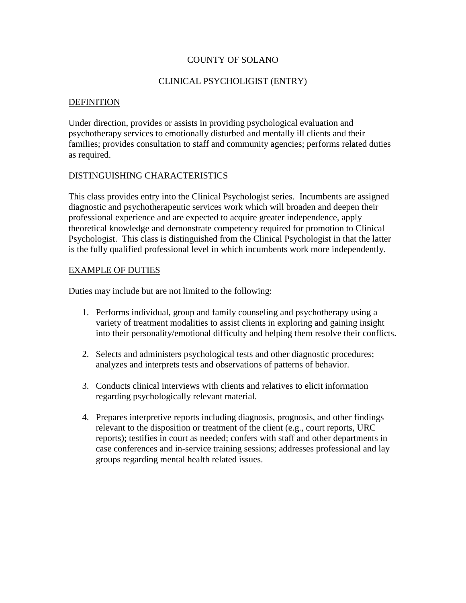### COUNTY OF SOLANO

### CLINICAL PSYCHOLIGIST (ENTRY)

#### **DEFINITION**

Under direction, provides or assists in providing psychological evaluation and psychotherapy services to emotionally disturbed and mentally ill clients and their families; provides consultation to staff and community agencies; performs related duties as required.

### DISTINGUISHING CHARACTERISTICS

This class provides entry into the Clinical Psychologist series. Incumbents are assigned diagnostic and psychotherapeutic services work which will broaden and deepen their professional experience and are expected to acquire greater independence, apply theoretical knowledge and demonstrate competency required for promotion to Clinical Psychologist. This class is distinguished from the Clinical Psychologist in that the latter is the fully qualified professional level in which incumbents work more independently.

### EXAMPLE OF DUTIES

Duties may include but are not limited to the following:

- 1. Performs individual, group and family counseling and psychotherapy using a variety of treatment modalities to assist clients in exploring and gaining insight into their personality/emotional difficulty and helping them resolve their conflicts.
- 2. Selects and administers psychological tests and other diagnostic procedures; analyzes and interprets tests and observations of patterns of behavior.
- 3. Conducts clinical interviews with clients and relatives to elicit information regarding psychologically relevant material.
- 4. Prepares interpretive reports including diagnosis, prognosis, and other findings relevant to the disposition or treatment of the client (e.g., court reports, URC reports); testifies in court as needed; confers with staff and other departments in case conferences and in-service training sessions; addresses professional and lay groups regarding mental health related issues.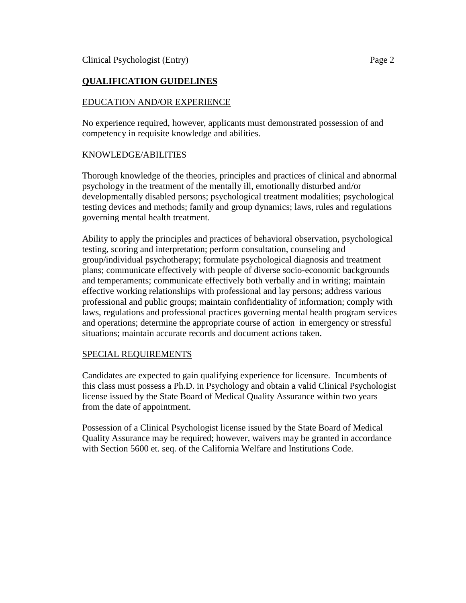# **QUALIFICATION GUIDELINES**

## EDUCATION AND/OR EXPERIENCE

No experience required, however, applicants must demonstrated possession of and competency in requisite knowledge and abilities.

### KNOWLEDGE/ABILITIES

Thorough knowledge of the theories, principles and practices of clinical and abnormal psychology in the treatment of the mentally ill, emotionally disturbed and/or developmentally disabled persons; psychological treatment modalities; psychological testing devices and methods; family and group dynamics; laws, rules and regulations governing mental health treatment.

Ability to apply the principles and practices of behavioral observation, psychological testing, scoring and interpretation; perform consultation, counseling and group/individual psychotherapy; formulate psychological diagnosis and treatment plans; communicate effectively with people of diverse socio-economic backgrounds and temperaments; communicate effectively both verbally and in writing; maintain effective working relationships with professional and lay persons; address various professional and public groups; maintain confidentiality of information; comply with laws, regulations and professional practices governing mental health program services and operations; determine the appropriate course of action in emergency or stressful situations; maintain accurate records and document actions taken.

### SPECIAL REQUIREMENTS

Candidates are expected to gain qualifying experience for licensure. Incumbents of this class must possess a Ph.D. in Psychology and obtain a valid Clinical Psychologist license issued by the State Board of Medical Quality Assurance within two years from the date of appointment.

Possession of a Clinical Psychologist license issued by the State Board of Medical Quality Assurance may be required; however, waivers may be granted in accordance with Section 5600 et. seq. of the California Welfare and Institutions Code.